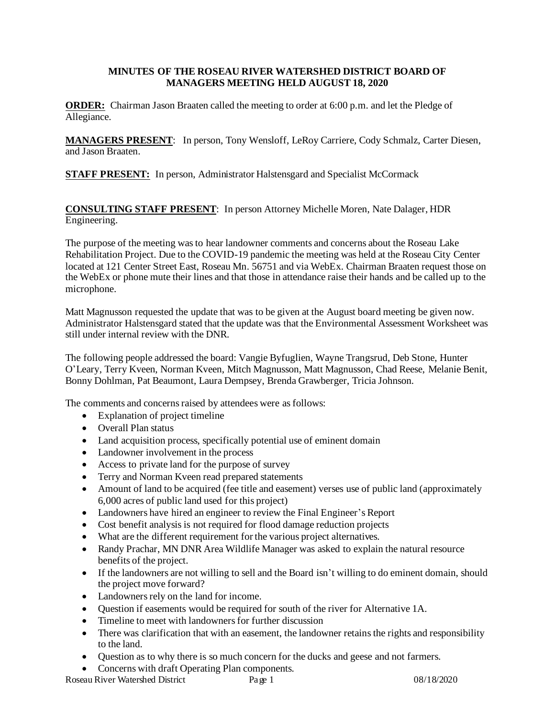## **MINUTES OF THE ROSEAU RIVER WATERSHED DISTRICT BOARD OF MANAGERS MEETING HELD AUGUST 18, 2020**

**ORDER:** Chairman Jason Braaten called the meeting to order at 6:00 p.m. and let the Pledge of Allegiance.

**MANAGERS PRESENT**: In person, Tony Wensloff, LeRoy Carriere, Cody Schmalz, Carter Diesen, and Jason Braaten.

**STAFF PRESENT:** In person, Administrator Halstensgard and Specialist McCormack

**CONSULTING STAFF PRESENT**: In person Attorney Michelle Moren, Nate Dalager, HDR Engineering.

The purpose of the meeting was to hear landowner comments and concerns about the Roseau Lake Rehabilitation Project. Due to the COVID-19 pandemic the meeting was held at the Roseau City Center located at 121 Center Street East, Roseau Mn. 56751 and via WebEx. Chairman Braaten request those on the WebEx or phone mute their lines and that those in attendance raise their hands and be called up to the microphone.

Matt Magnusson requested the update that was to be given at the August board meeting be given now. Administrator Halstensgard stated that the update was that the Environmental Assessment Worksheet was still under internal review with the DNR.

The following people addressed the board: Vangie Byfuglien, Wayne Trangsrud, Deb Stone, Hunter O'Leary, Terry Kveen, Norman Kveen, Mitch Magnusson, Matt Magnusson, Chad Reese, Melanie Benit, Bonny Dohlman, Pat Beaumont, Laura Dempsey, Brenda Grawberger, Tricia Johnson.

The comments and concerns raised by attendees were as follows:

- Explanation of project timeline
- Overall Plan status
- Land acquisition process, specifically potential use of eminent domain
- Landowner involvement in the process
- Access to private land for the purpose of survey
- Terry and Norman Kveen read prepared statements
- Amount of land to be acquired (fee title and easement) verses use of public land (approximately 6,000 acres of public land used for this project)
- Landowners have hired an engineer to review the Final Engineer's Report
- Cost benefit analysis is not required for flood damage reduction projects
- What are the different requirement for the various project alternatives.
- Randy Prachar, MN DNR Area Wildlife Manager was asked to explain the natural resource benefits of the project.
- If the landowners are not willing to sell and the Board isn't willing to do eminent domain, should the project move forward?
- Landowners rely on the land for income.
- Question if easements would be required for south of the river for Alternative 1A.
- Timeline to meet with landowners for further discussion
- There was clarification that with an easement, the landowner retains the rights and responsibility to the land.
- Question as to why there is so much concern for the ducks and geese and not farmers.
- Concerns with draft Operating Plan components.

Roseau River Watershed District Page 1 08/18/2020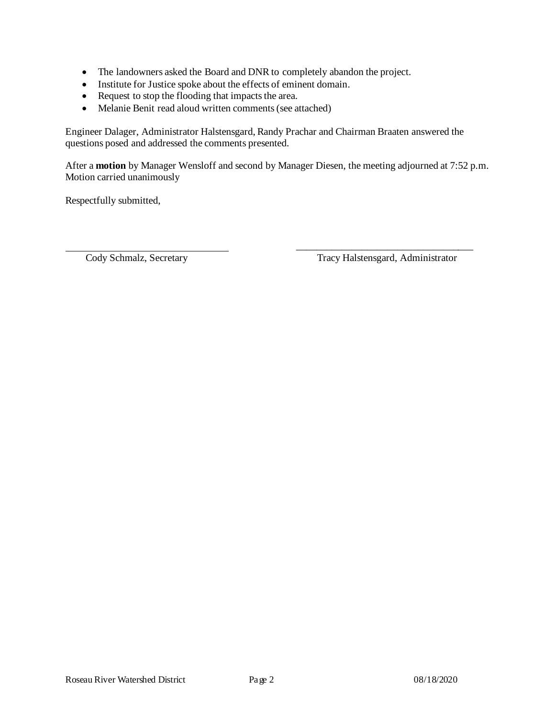- The landowners asked the Board and DNR to completely abandon the project.
- Institute for Justice spoke about the effects of eminent domain.
- Request to stop the flooding that impacts the area.
- Melanie Benit read aloud written comments (see attached)

Engineer Dalager, Administrator Halstensgard, Randy Prachar and Chairman Braaten answered the questions posed and addressed the comments presented.

After a **motion** by Manager Wensloff and second by Manager Diesen, the meeting adjourned at 7:52 p.m. Motion carried unanimously

Respectfully submitted,

\_\_\_\_\_\_\_\_\_\_\_\_\_\_\_\_\_\_\_\_\_\_\_\_\_\_\_\_\_\_\_\_\_\_\_ Cody Schmalz, Secretary Tracy Halstensgard, Administrator